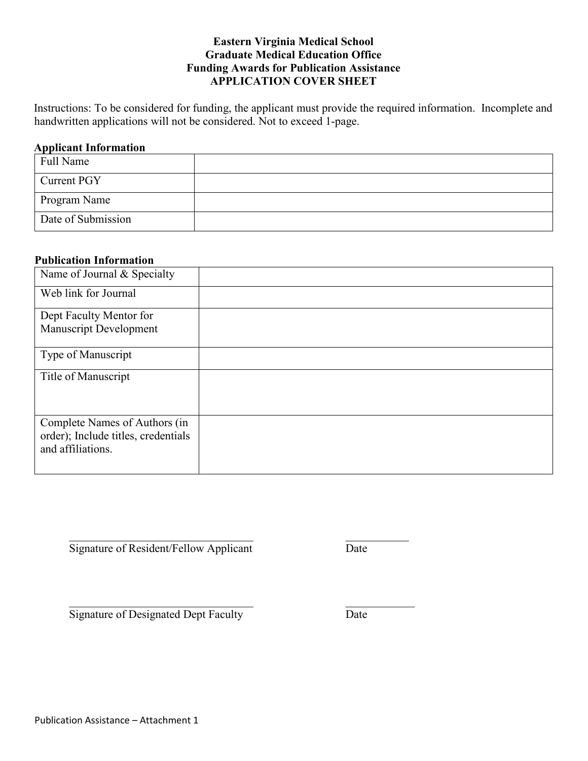### **Eastern Virginia Medical School Graduate Medical Education Office Funding Awards for Publication Assistance APPLICATION COVER SHEET**

Instructions: To be considered for funding, the applicant must provide the required information. Incomplete and handwritten applications will not be considered. Not to exceed 1-page.

#### **Applicant Information**

| Full Name          |  |
|--------------------|--|
| Current PGY        |  |
| Program Name       |  |
| Date of Submission |  |

#### **Publication Information**

| Name of Journal & Specialty                                                               |  |
|-------------------------------------------------------------------------------------------|--|
| Web link for Journal                                                                      |  |
| Dept Faculty Mentor for<br><b>Manuscript Development</b>                                  |  |
| Type of Manuscript                                                                        |  |
| Title of Manuscript                                                                       |  |
| Complete Names of Authors (in<br>order); Include titles, credentials<br>and affiliations. |  |

Signature of Resident/Fellow Applicant Date

Signature of Designated Dept Faculty Date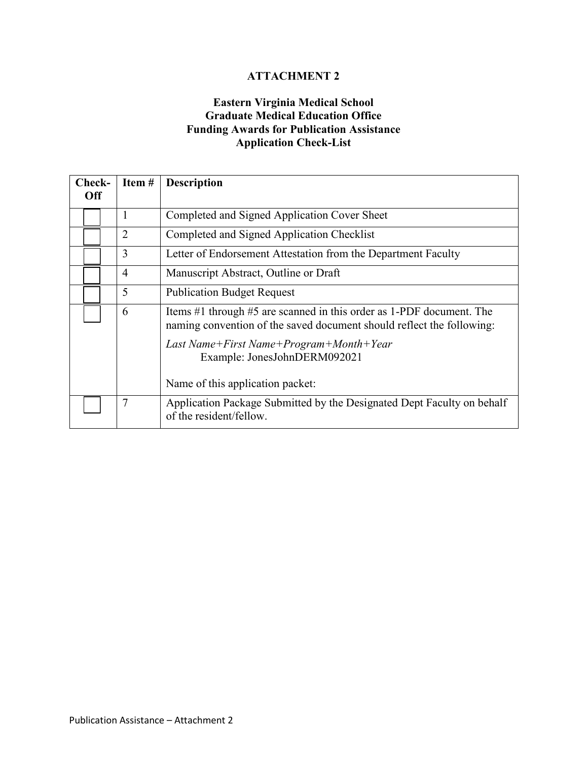# **Eastern Virginia Medical School Graduate Medical Education Office Funding Awards for Publication Assistance Application Check-List**

| Check-     | Item #         | <b>Description</b>                                                                                                                            |  |
|------------|----------------|-----------------------------------------------------------------------------------------------------------------------------------------------|--|
| <b>Off</b> |                |                                                                                                                                               |  |
|            |                | Completed and Signed Application Cover Sheet                                                                                                  |  |
|            | $\overline{2}$ | Completed and Signed Application Checklist                                                                                                    |  |
|            | 3              | Letter of Endorsement Attestation from the Department Faculty                                                                                 |  |
|            | $\overline{4}$ | Manuscript Abstract, Outline or Draft                                                                                                         |  |
|            | 5              | <b>Publication Budget Request</b>                                                                                                             |  |
|            | 6              | Items #1 through #5 are scanned in this order as 1-PDF document. The<br>naming convention of the saved document should reflect the following: |  |
|            |                | Last Name+First Name+Program+Month+Year<br>Example: JonesJohnDERM092021                                                                       |  |
|            |                | Name of this application packet:                                                                                                              |  |
|            | 7              | Application Package Submitted by the Designated Dept Faculty on behalf<br>of the resident/fellow.                                             |  |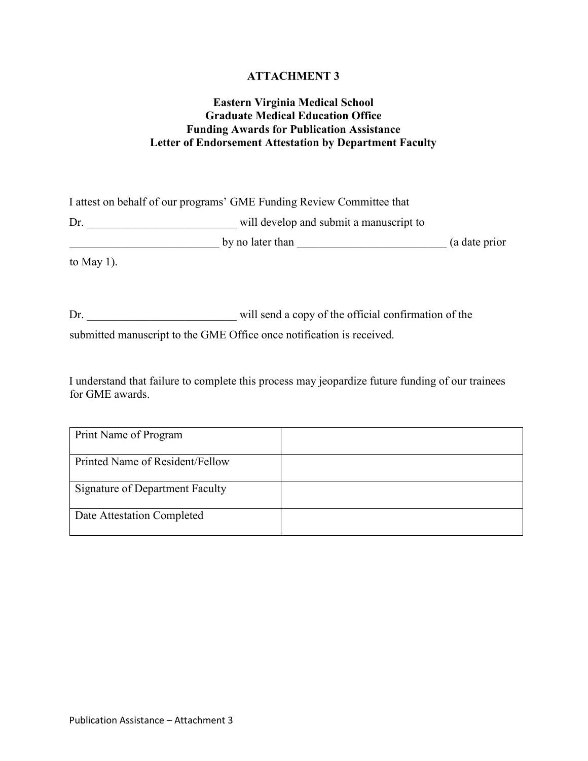## **Eastern Virginia Medical School Graduate Medical Education Office Funding Awards for Publication Assistance Letter of Endorsement Attestation by Department Faculty**

I attest on behalf of our programs' GME Funding Review Committee that

Dr. \_\_\_\_\_\_\_\_\_\_\_\_\_\_\_\_\_\_\_\_\_\_\_\_\_\_ will develop and submit a manuscript to

\_\_\_\_\_\_\_\_\_\_\_\_\_\_\_\_\_\_\_\_\_\_\_\_\_\_ by no later than \_\_\_\_\_\_\_\_\_\_\_\_\_\_\_\_\_\_\_\_\_\_\_\_\_\_ (a date prior

to May 1).

Dr. \_\_\_\_\_\_\_\_\_\_\_\_\_\_\_\_\_\_\_\_\_\_\_\_\_\_ will send a copy of the official confirmation of the

submitted manuscript to the GME Office once notification is received.

I understand that failure to complete this process may jeopardize future funding of our trainees for GME awards.

| Print Name of Program           |  |
|---------------------------------|--|
| Printed Name of Resident/Fellow |  |
| Signature of Department Faculty |  |
| Date Attestation Completed      |  |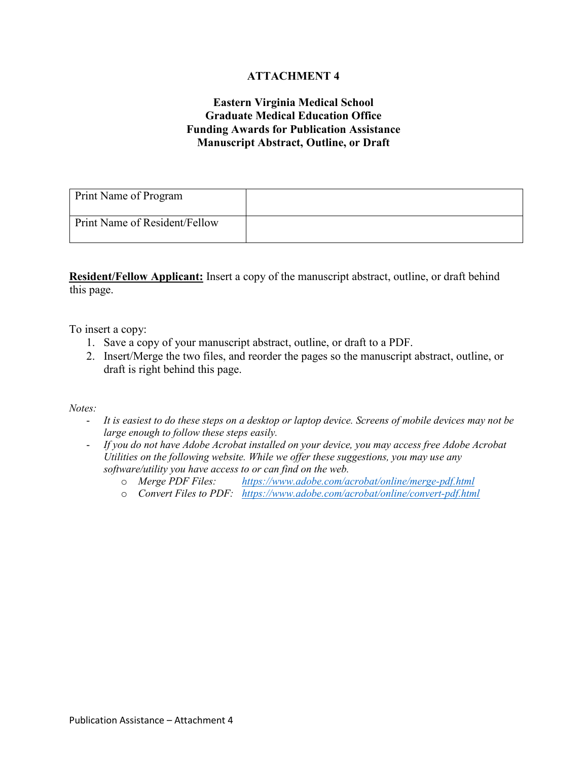## **Eastern Virginia Medical School Graduate Medical Education Office Funding Awards for Publication Assistance Manuscript Abstract, Outline, or Draft**

| Print Name of Program         |  |
|-------------------------------|--|
| Print Name of Resident/Fellow |  |

**Resident/Fellow Applicant:** Insert a copy of the manuscript abstract, outline, or draft behind this page.

To insert a copy:

- 1. Save a copy of your manuscript abstract, outline, or draft to a PDF.
- 2. Insert/Merge the two files, and reorder the pages so the manuscript abstract, outline, or draft is right behind this page.

*Notes:*

- *It is easiest to do these steps on a desktop or laptop device. Screens of mobile devices may not be large enough to follow these steps easily.*
- *If you do not have Adobe Acrobat installed on your device, you may access free Adobe Acrobat Utilities on the following website. While we offer these suggestions, you may use any software/utility you have access to or can find on the web.*<br>  $\circ$  Merge PDF Files: https://www.adobe.com/al
	- o *Merge PDF Files: <https://www.adobe.com/acrobat/online/merge-pdf.html>*
	- o *Convert Files to PDF: <https://www.adobe.com/acrobat/online/convert-pdf.html>*